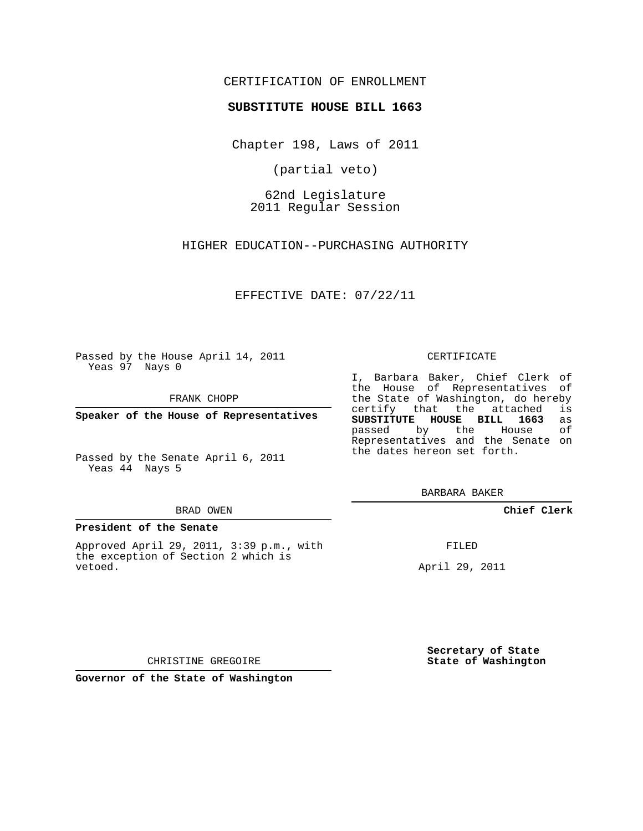## CERTIFICATION OF ENROLLMENT

### **SUBSTITUTE HOUSE BILL 1663**

Chapter 198, Laws of 2011

(partial veto)

62nd Legislature 2011 Regular Session

HIGHER EDUCATION--PURCHASING AUTHORITY

EFFECTIVE DATE: 07/22/11

Passed by the House April 14, 2011 Yeas 97 Nays 0

FRANK CHOPP

**Speaker of the House of Representatives**

Passed by the Senate April 6, 2011 Yeas 44 Nays 5

#### BRAD OWEN

#### **President of the Senate**

Approved April 29, 2011, 3:39 p.m., with the exception of Section 2 which is vetoed.

CERTIFICATE

I, Barbara Baker, Chief Clerk of the House of Representatives of the State of Washington, do hereby<br>certify that the attached is certify that the attached **SUBSTITUTE HOUSE BILL 1663** as passed by the House of Representatives and the Senate on the dates hereon set forth.

BARBARA BAKER

**Chief Clerk**

FILED

April 29, 2011

**Secretary of State State of Washington**

CHRISTINE GREGOIRE

**Governor of the State of Washington**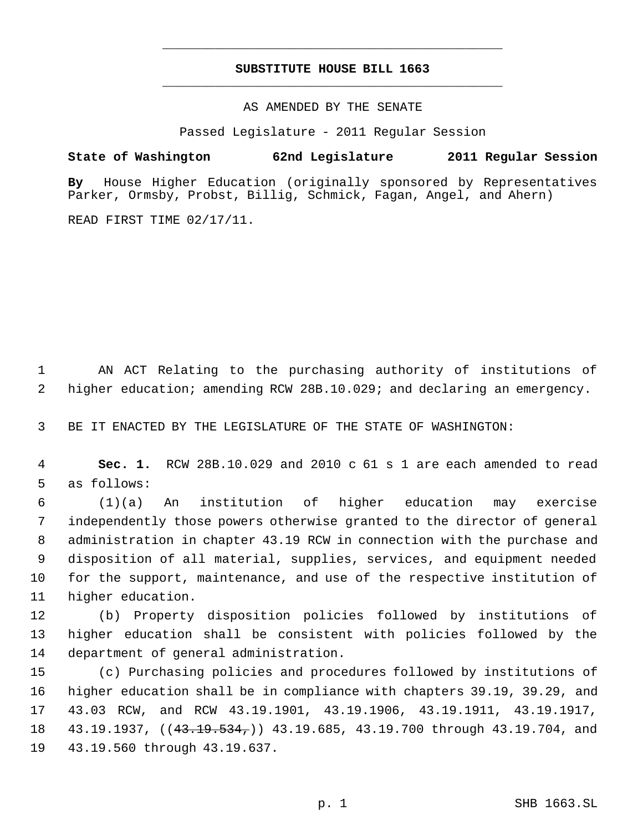# **SUBSTITUTE HOUSE BILL 1663** \_\_\_\_\_\_\_\_\_\_\_\_\_\_\_\_\_\_\_\_\_\_\_\_\_\_\_\_\_\_\_\_\_\_\_\_\_\_\_\_\_\_\_\_\_

\_\_\_\_\_\_\_\_\_\_\_\_\_\_\_\_\_\_\_\_\_\_\_\_\_\_\_\_\_\_\_\_\_\_\_\_\_\_\_\_\_\_\_\_\_

AS AMENDED BY THE SENATE

Passed Legislature - 2011 Regular Session

## **State of Washington 62nd Legislature 2011 Regular Session**

**By** House Higher Education (originally sponsored by Representatives Parker, Ormsby, Probst, Billig, Schmick, Fagan, Angel, and Ahern)

READ FIRST TIME 02/17/11.

 AN ACT Relating to the purchasing authority of institutions of higher education; amending RCW 28B.10.029; and declaring an emergency.

BE IT ENACTED BY THE LEGISLATURE OF THE STATE OF WASHINGTON:

 **Sec. 1.** RCW 28B.10.029 and 2010 c 61 s 1 are each amended to read as follows:

 (1)(a) An institution of higher education may exercise independently those powers otherwise granted to the director of general administration in chapter 43.19 RCW in connection with the purchase and disposition of all material, supplies, services, and equipment needed for the support, maintenance, and use of the respective institution of higher education.

 (b) Property disposition policies followed by institutions of higher education shall be consistent with policies followed by the department of general administration.

 (c) Purchasing policies and procedures followed by institutions of higher education shall be in compliance with chapters 39.19, 39.29, and 43.03 RCW, and RCW 43.19.1901, 43.19.1906, 43.19.1911, 43.19.1917, 18 43.19.1937, ((4<del>3.19.534,</del>)) 43.19.685, 43.19.700 through 43.19.704, and 43.19.560 through 43.19.637.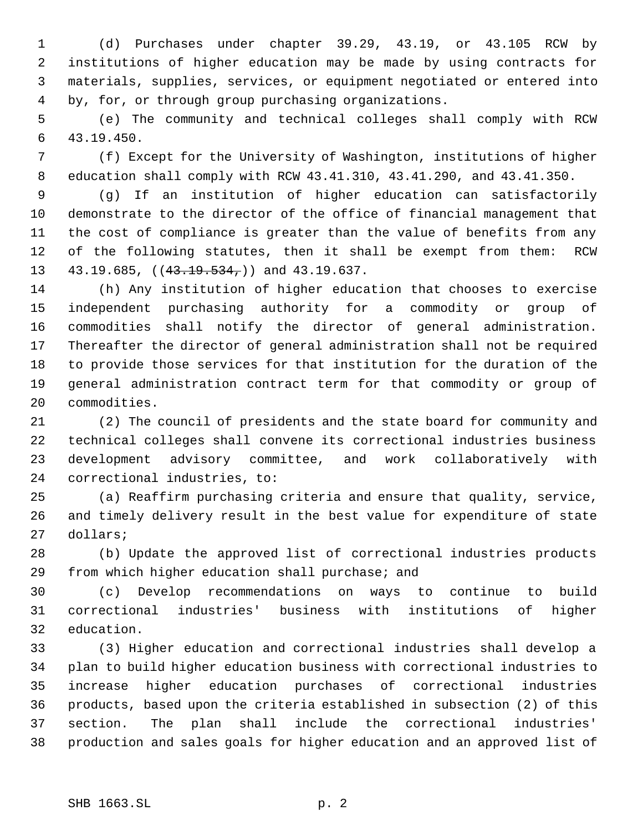(d) Purchases under chapter 39.29, 43.19, or 43.105 RCW by institutions of higher education may be made by using contracts for materials, supplies, services, or equipment negotiated or entered into by, for, or through group purchasing organizations.

 (e) The community and technical colleges shall comply with RCW 43.19.450.

 (f) Except for the University of Washington, institutions of higher education shall comply with RCW 43.41.310, 43.41.290, and 43.41.350.

 (g) If an institution of higher education can satisfactorily demonstrate to the director of the office of financial management that the cost of compliance is greater than the value of benefits from any of the following statutes, then it shall be exempt from them: RCW 13 43.19.685, ((43.19.534,)) and 43.19.637.

 (h) Any institution of higher education that chooses to exercise independent purchasing authority for a commodity or group of commodities shall notify the director of general administration. Thereafter the director of general administration shall not be required to provide those services for that institution for the duration of the general administration contract term for that commodity or group of commodities.

 (2) The council of presidents and the state board for community and technical colleges shall convene its correctional industries business development advisory committee, and work collaboratively with correctional industries, to:

 (a) Reaffirm purchasing criteria and ensure that quality, service, and timely delivery result in the best value for expenditure of state dollars;

 (b) Update the approved list of correctional industries products from which higher education shall purchase; and

 (c) Develop recommendations on ways to continue to build correctional industries' business with institutions of higher education.

 (3) Higher education and correctional industries shall develop a plan to build higher education business with correctional industries to increase higher education purchases of correctional industries products, based upon the criteria established in subsection (2) of this section. The plan shall include the correctional industries' production and sales goals for higher education and an approved list of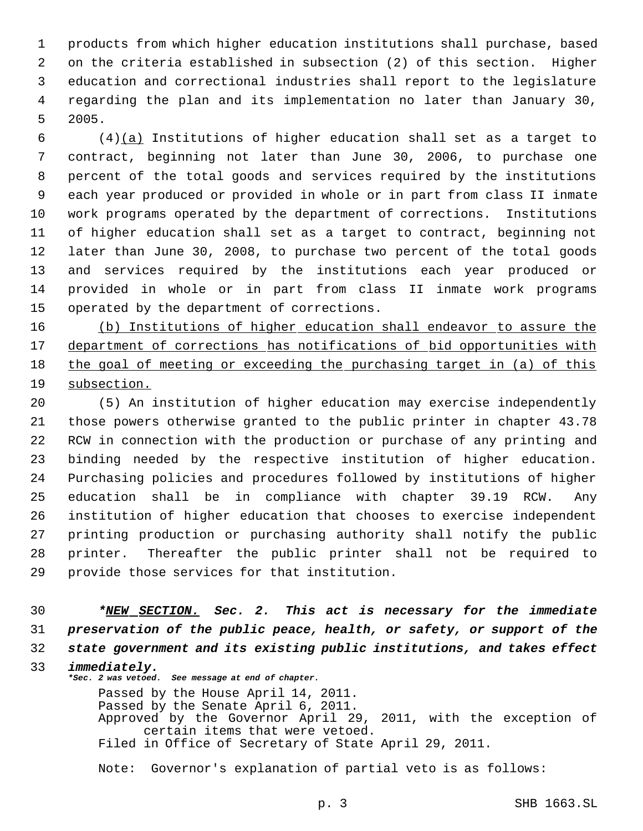products from which higher education institutions shall purchase, based on the criteria established in subsection (2) of this section. Higher education and correctional industries shall report to the legislature regarding the plan and its implementation no later than January 30, 2005.

 (4)(a) Institutions of higher education shall set as a target to contract, beginning not later than June 30, 2006, to purchase one percent of the total goods and services required by the institutions each year produced or provided in whole or in part from class II inmate work programs operated by the department of corrections. Institutions of higher education shall set as a target to contract, beginning not later than June 30, 2008, to purchase two percent of the total goods and services required by the institutions each year produced or provided in whole or in part from class II inmate work programs operated by the department of corrections.

 (b) Institutions of higher education shall endeavor to assure the 17 department of corrections has notifications of bid opportunities with the goal of meeting or exceeding the purchasing target in (a) of this subsection.

 (5) An institution of higher education may exercise independently those powers otherwise granted to the public printer in chapter 43.78 RCW in connection with the production or purchase of any printing and binding needed by the respective institution of higher education. Purchasing policies and procedures followed by institutions of higher education shall be in compliance with chapter 39.19 RCW. Any institution of higher education that chooses to exercise independent printing production or purchasing authority shall notify the public printer. Thereafter the public printer shall not be required to provide those services for that institution.

 *\*NEW SECTION. Sec. 2. This act is necessary for the immediate preservation of the public peace, health, or safety, or support of the state government and its existing public institutions, and takes effect immediately.*

*\*Sec. 2 was vetoed. See message at end of chapter.* Passed by the House April 14, 2011. Passed by the Senate April 6, 2011. Approved by the Governor April 29, 2011, with the exception of certain items that were vetoed. Filed in Office of Secretary of State April 29, 2011.

Note: Governor's explanation of partial veto is as follows: